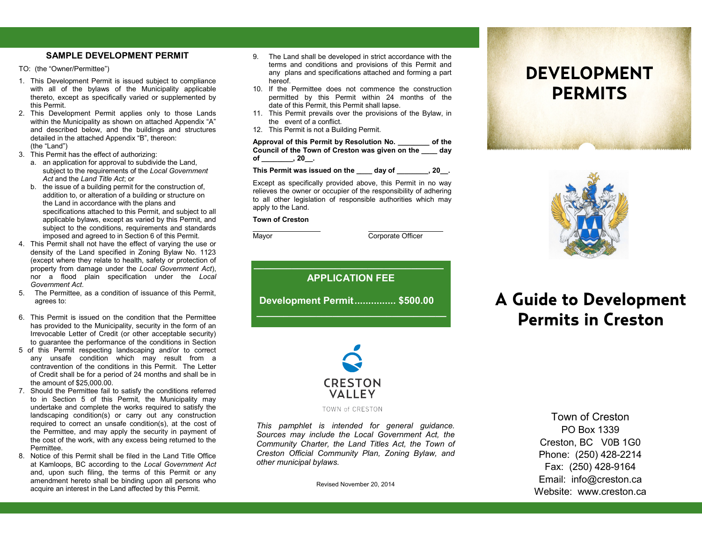### **SAMPLE DEVELOPMENT PERMIT**

TO: (the "Owner/Permittee")

- 1. This Development Permit is issued subject to compliance with all of the bylaws of the Municipality applicable thereto, except as specifically varied or supplemented by this Permit.
- 2. This Development Permit applies only to those Lands within the Municipality as shown on attached Appendix "A" and described below, and the buildings and structures detailed in the attached Appendix "B", thereon: (the "Land")
- 3. This Permit has the effect of authorizing:
	- a. an application for approval to subdivide the Land, subject to the requirements of the *Local Government Act* and the *Land Title Act*; or
	- b. the issue of a building permit for the construction of, addition to, or alteration of a building or structure on the Land in accordance with the plans and specifications attached to this Permit, and subject to all applicable bylaws, except as varied by this Permit, and subject to the conditions, requirements and standards imposed and agreed to in Section 6 of this Permit.
- 4. This Permit shall not have the effect of varying the use or density of the Land specified in Zoning Bylaw No. 1123 (except where they relate to health, safety or protection of property from damage under the *Local Government Act*), nor a flood plain specification under the *Local Government Act*.
- 5. The Permittee, as a condition of issuance of this Permit, agrees to:
- 6. This Permit is issued on the condition that the Permittee has provided to the Municipality, security in the form of an Irrevocable Letter of Credit (or other acceptable security) to guarantee the performance of the conditions in Section
- 5 of this Permit respecting landscaping and/or to correct any unsafe condition which may result from a contravention of the conditions in this Permit. The Letter of Credit shall be for a period of 24 months and shall be in the amount of \$25,000.00.
- 7. Should the Permittee fail to satisfy the conditions referred to in Section 5 of this Permit, the Municipality may undertake and complete the works required to satisfy the landscaping condition(s) or carry out any construction required to correct an unsafe condition(s), at the cost of the Permittee, and may apply the security in payment of the cost of the work, with any excess being returned to the Permittee.
- 8. Notice of this Permit shall be filed in the Land Title Office at Kamloops, BC according to the *Local Government Act* and, upon such filing, the terms of this Permit or any amendment hereto shall be binding upon all persons who acquire an interest in the Land affected by this Permit.
- 9. The Land shall be developed in strict accordance with the terms and conditions and provisions of this Permit and any plans and specifications attached and forming a part hereof.
- 10. If the Permittee does not commence the construction permitted by this Permit within 24 months of the date of this Permit, this Permit shall lapse.
- 11. This Permit prevails over the provisions of the Bylaw, in the event of a conflict.
- 12. This Permit is not a Building Permit.

**Approval of this Permit by Resolution No. \_\_\_\_\_\_\_\_ of the Council of the Town of Creston was given on the \_\_\_\_ day of \_\_\_\_\_\_\_\_, 20\_\_.**

**This Permit was issued on the \_\_\_\_ day of \_\_\_\_\_\_\_\_, 20\_\_.**

Except as specifically provided above, this Permit in no way relieves the owner or occupier of the responsibility of adhering to all other legislation of responsible authorities which may apply to the Land.

#### **Town of Creston**

Mayor Corporate Officer

**\_\_\_\_\_\_\_\_\_\_\_\_\_\_\_\_\_\_\_\_\_\_\_\_\_\_\_\_\_\_\_\_\_\_\_ APPLICATION FEE Development Permit............... \$500.00 \_\_\_\_\_\_\_\_\_\_\_\_\_\_\_\_\_\_\_\_\_\_\_\_\_\_\_\_\_\_\_\_\_\_\_**



TOWN of CRESTON

*This pamphlet is intended for general guidance. Sources may include the Local Government Act, the Community Charter, the Land Titles Act, the Town of Creston Official Community Plan, Zoning Bylaw, and other municipal bylaws.*

Revised November 20, 2014

## **DEVELOPMENT PERMITS**



# **A Guide to Development Permits in Creston**

Town of Creston PO Box 1339 Creston, BC V0B 1G0 Phone: (250) 428-2214 Fax: (250) 428-9164 Email: info@creston.ca Website: www.creston.ca